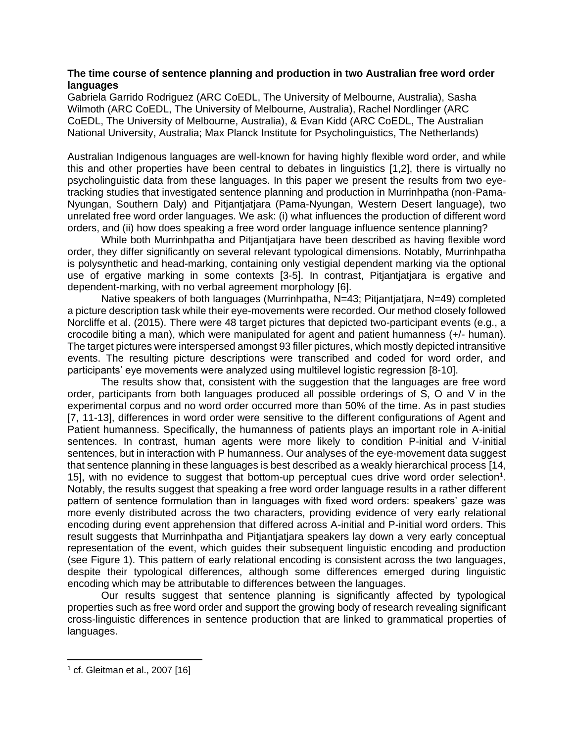## **The time course of sentence planning and production in two Australian free word order languages**

Gabriela Garrido Rodriguez (ARC CoEDL, The University of Melbourne, Australia), Sasha Wilmoth (ARC CoEDL, The University of Melbourne, Australia), Rachel Nordlinger (ARC CoEDL, The University of Melbourne, Australia), & Evan Kidd (ARC CoEDL, The Australian National University, Australia; Max Planck Institute for Psycholinguistics, The Netherlands)

Australian Indigenous languages are well-known for having highly flexible word order, and while this and other properties have been central to debates in linguistics [1,2], there is virtually no psycholinguistic data from these languages. In this paper we present the results from two eyetracking studies that investigated sentence planning and production in Murrinhpatha (non-Pama-Nyungan, Southern Daly) and Pitjantjatjara (Pama-Nyungan, Western Desert language), two unrelated free word order languages. We ask: (i) what influences the production of different word orders, and (ii) how does speaking a free word order language influence sentence planning?

While both Murrinhpatha and Pitjantjatjara have been described as having flexible word order, they differ significantly on several relevant typological dimensions. Notably, Murrinhpatha is polysynthetic and head-marking, containing only vestigial dependent marking via the optional use of ergative marking in some contexts [3-5]. In contrast, Pitjantjatjara is ergative and dependent-marking, with no verbal agreement morphology [6].

Native speakers of both languages (Murrinhpatha, N=43; Pitiantiatiara, N=49) completed a picture description task while their eye-movements were recorded. Our method closely followed Norcliffe et al. (2015). There were 48 target pictures that depicted two-participant events (e.g., a crocodile biting a man), which were manipulated for agent and patient humanness (+/- human). The target pictures were interspersed amongst 93 filler pictures, which mostly depicted intransitive events. The resulting picture descriptions were transcribed and coded for word order, and participants' eye movements were analyzed using multilevel logistic regression [8-10].

The results show that, consistent with the suggestion that the languages are free word order, participants from both languages produced all possible orderings of S, O and V in the experimental corpus and no word order occurred more than 50% of the time. As in past studies [7, 11-13], differences in word order were sensitive to the different configurations of Agent and Patient humanness. Specifically, the humanness of patients plays an important role in A-initial sentences. In contrast, human agents were more likely to condition P-initial and V-initial sentences, but in interaction with P humanness. Our analyses of the eye-movement data suggest that sentence planning in these languages is best described as a weakly hierarchical process [14, 15], with no evidence to suggest that bottom-up perceptual cues drive word order selection<sup>1</sup>. Notably, the results suggest that speaking a free word order language results in a rather different pattern of sentence formulation than in languages with fixed word orders: speakers' gaze was more evenly distributed across the two characters, providing evidence of very early relational encoding during event apprehension that differed across A-initial and P-initial word orders. This result suggests that Murrinhpatha and Pitjantjatjara speakers lay down a very early conceptual representation of the event, which guides their subsequent linguistic encoding and production (see Figure 1). This pattern of early relational encoding is consistent across the two languages, despite their typological differences, although some differences emerged during linguistic encoding which may be attributable to differences between the languages.

Our results suggest that sentence planning is significantly affected by typological properties such as free word order and support the growing body of research revealing significant cross-linguistic differences in sentence production that are linked to grammatical properties of languages.

1

 $1$  cf. Gleitman et al., 2007 [16]